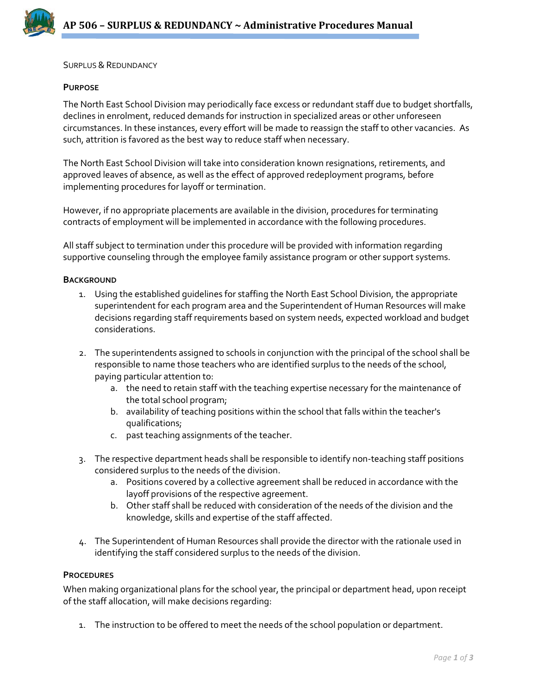

SURPLUS & REDUNDANCY

#### **PURPOSE**

The North East School Division may periodically face excess or redundant staff due to budget shortfalls, declines in enrolment, reduced demands for instruction in specialized areas or other unforeseen circumstances. In these instances, every effort will be made to reassign the staff to other vacancies. As such, attrition is favored as the best way to reduce staff when necessary.

The North East School Division will take into consideration known resignations, retirements, and approved leaves of absence, as well as the effect of approved redeployment programs, before implementing procedures for layoff or termination.

However, if no appropriate placements are available in the division, procedures for terminating contracts of employment will be implemented in accordance with the following procedures.

All staff subject to termination under this procedure will be provided with information regarding supportive counseling through the employee family assistance program or other support systems.

#### **BACKGROUND**

- 1. Using the established guidelines for staffing the North East School Division, the appropriate superintendent for each program area and the Superintendent of Human Resources will make decisions regarding staff requirements based on system needs, expected workload and budget considerations.
- 2. The superintendents assigned to schools in conjunction with the principal of the school shall be responsible to name those teachers who are identified surplus to the needs of the school, paying particular attention to:
	- a. the need to retain staff with the teaching expertise necessary for the maintenance of the total school program;
	- b. availability of teaching positions within the school that falls within the teacher's qualifications;
	- c. past teaching assignments of the teacher.
- 3. The respective department heads shall be responsible to identify non-teaching staff positions considered surplus to the needs of the division.
	- a. Positions covered by a collective agreement shall be reduced in accordance with the layoff provisions of the respective agreement.
	- b. Other staff shall be reduced with consideration of the needs of the division and the knowledge, skills and expertise of the staff affected.
- 4. The Superintendent of Human Resources shall provide the director with the rationale used in identifying the staff considered surplus to the needs of the division.

## **PROCEDURES**

When making organizational plans for the school year, the principal or department head, upon receipt of the staff allocation, will make decisions regarding:

1. The instruction to be offered to meet the needs of the school population or department.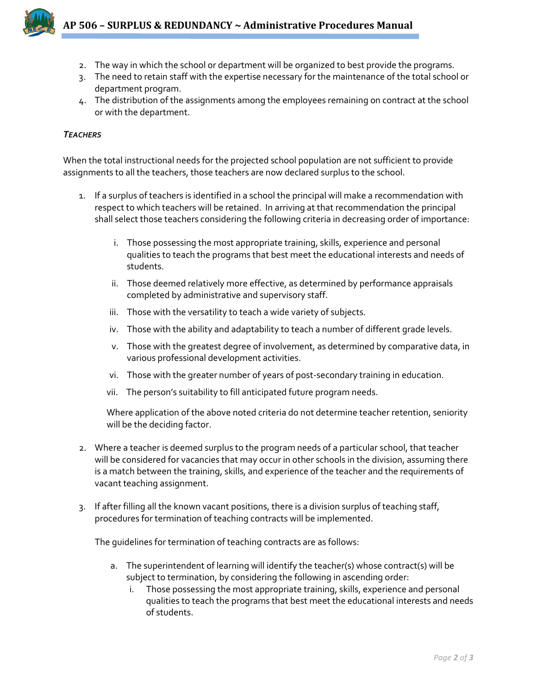

- 2. The way in which the school or department will be organized to best provide the programs.
- 3. The need to retain staff with the expertise necessary for the maintenance of the total school or department program.
- 4. The distribution of the assignments among the employees remaining on contract at the school or with the department.

## *TEACHERS*

When the total instructional needs for the projected school population are not sufficient to provide assignments to all the teachers, those teachers are now declared surplus to the school.

- 1. If a surplus of teachers is identified in a school the principal will make a recommendation with respect to which teachers will be retained. In arriving at that recommendation the principal shall select those teachers considering the following criteria in decreasing order of importance:
	- i. Those possessing the most appropriate training, skills, experience and personal qualities to teach the programs that best meet the educational interests and needs of students.
	- ii. Those deemed relatively more effective, as determined by performance appraisals completed by administrative and supervisory staff.
	- iii. Those with the versatility to teach a wide variety of subjects.
	- iv. Those with the ability and adaptability to teach a number of different grade levels.
	- v. Those with the greatest degree of involvement, as determined by comparative data, in various professional development activities.
	- vi. Those with the greater number of years of post-secondary training in education.
	- vii. The person's suitability to fill anticipated future program needs.

Where application of the above noted criteria do not determine teacher retention, seniority will be the deciding factor.

- 2. Where a teacher is deemed surplus to the program needs of a particular school, that teacher will be considered for vacancies that may occur in other schools in the division, assuming there is a match between the training, skills, and experience of the teacher and the requirements of vacant teaching assignment.
- 3. If after filling all the known vacant positions, there is a division surplus of teaching staff, procedures for termination of teaching contracts will be implemented.

The guidelines for termination of teaching contracts are as follows:

- a. The superintendent of learning will identify the teacher(s) whose contract(s) will be subject to termination, by considering the following in ascending order:
	- i. Those possessing the most appropriate training, skills, experience and personal qualities to teach the programs that best meet the educational interests and needs of students.